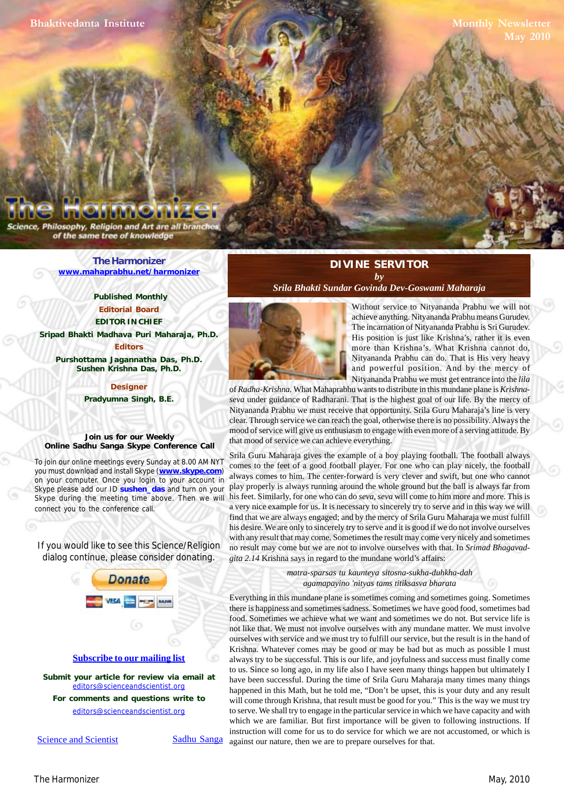Philosophy, Religion and Art are all bran of the same tree of knowledge

> **[The Harmonizer](http://www.mahaprabhu.net/harmonizer) www.mahaprabhu.net/harmonizer**

> > **Published Monthly Editorial Board EDITOR IN CHIEF**

**[Sripad Bhakti Madhava Puri Maharaja, Ph.D.](http://groups.google.co.in/group/Online_Sadhu_Sanga/web/affectionate-guardians)**

**Editors Purshottama Jagannatha Das, Ph.D. Sushen Krishna Das, Ph.D.**

> **Designer Pradyumna Singh, B.E.**

**Join us for our Weekly Online Sadhu Sanga Skype Conference Call**

To join our online meetings every Sunday at 8.00 AM NYT you must download and install Skype (**www.skype.com**) on your computer. Once you login to your account in Skype please add our ID **sushen\_das** and turn on your Skype during the meeting time above. Then we will connect you to the conference call.

If you would like to see this Science/Religion dialog continue, please consider donating.



Science and Scientist Sadhu Sanga

## **DIVINE SERVITOR** *by*

*Srila Bhakti Sundar Govinda Dev-Goswami Maharaja*



 . Nityananda Prabhu can do. That is His very heavy Without service to Nityananda Prabhu we will not achieve anything. Nityananda Prabhu means Gurudev. The incarnation of Nityananda Prabhu is Sri Gurudev. His position is just like Krishna's, rather it is even more than Krishna's. What Krishna cannot do, and powerful position. And by the mercy of Nityananda Prabhu we must get entrance into the *lila*

of *Radha-Krishna*. What Mahaprabhu wants to distribute in this mundane plane is *Krishnaseva* under guidance of Radharani. That is the highest goal of our life. By the mercy of Nityananda Prabhu we must receive that opportunity. Srila Guru Maharaja's line is very clear. Through service we can reach the goal, otherwise there is no possibility. Always the mood of service will give us enthusiasm to engage with even more of a serving attitude. By that mood of service we can achieve everything.

Srila Guru Maharaja gives the example of a boy playing football. The football always comes to the feet of a good football player. For one who can play nicely, the football always comes to him. The center-forward is very clever and swift, but one who cannot play properly is always running around the whole ground but the ball is always far from his feet. Similarly, for one who can do *seva*, *seva* will come to him more and more. This is a very nice example for us. It is necessary to sincerely try to serve and in this way we will find that we are always engaged; and by the mercy of Srila Guru Maharaja we must fulfill his desire. We are only to sincerely try to serve and it is good if we do not involve ourselves with any result that may come. Sometimes the result may come very nicely and sometimes no result may come but we are not to involve ourselves with that. In *Srimad Bhagavadgita 2.14* Krishna says in regard to the mundane world's affairs:

> *matra-sparsas tu kaunteya sitosna-sukha-duhkha-dah agamapayino 'nityas tams titiksasva bharata*

Everything in this mundane plane is sometimes coming and sometimes going. Sometimes there is happiness and sometimes sadness. Sometimes we have good food, sometimes bad food. Sometimes we achieve what we want and sometimes we do not. But service life is not like that. We must not involve ourselves with any mundane matter. We must involve ourselves with service and we must try to fulfill our service, but the result is in the hand of Krishna. Whatever comes may be good or may be bad but as much as possible I must always try to be successful. This is our life, and joyfulness and success must finally come to us. Since so long ago, in my life also I have seen many things happen but ultimately I have been successful. During the time of Srila Guru Maharaja many times many things happened in this Math, but he told me, "Don't be upset, this is your duty and any result will come through Krishna, that result must be good for you." This is the way we must try to serve. We shall try to engage in the particular service in which we have capacity and with which we are familiar. But first importance will be given to following instructions. If instruction will come for us to do service for which we are not accustomed, or which is against our nature, then we are to prepare ourselves for that.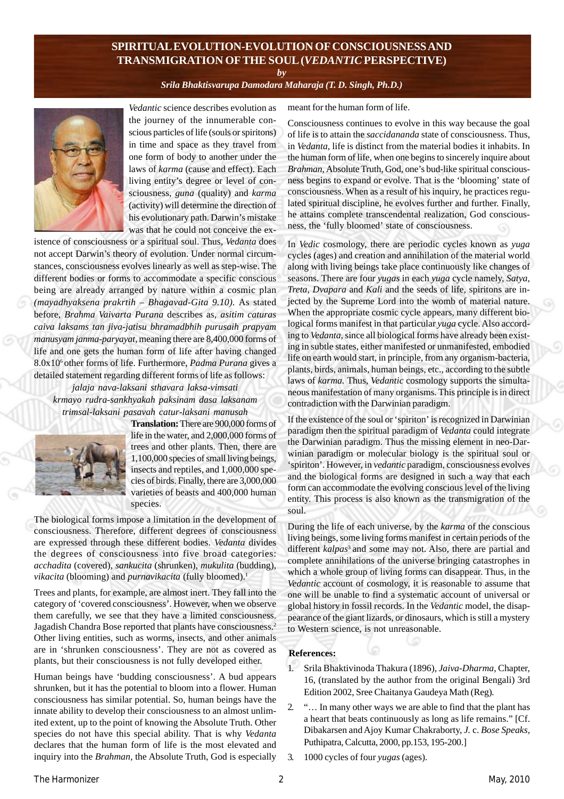# **SPIRITUAL EVOLUTION-EVOLUTION OF CONSCIOUSNESS AND TRANSMIGRATION OF THE SOUL (***VEDANTIC* **PERSPECTIVE)**

*by*

*[Srila Bhaktisvarupa Damodara Maharaja \(T. D. Singh, Ph.D.\)](http://groups.google.co.in/group/Online_Sadhu_Sanga/web/affectionate-guardians)*



*Vedantic* science describes evolution as the journey of the innumerable conscious particles of life (souls or spiritons) in time and space as they travel from one form of body to another under the laws of *karma* (cause and effect). Each living entity's degree or level of consciousness, *guna* (quality) and *karma* (activity) will determine the direction of his evolutionary path. Darwin's mistake was that he could not conceive the ex-

istence of consciousness or a spiritual soul. Thus, *Vedanta* does not accept Darwin's theory of evolution. Under normal circumstances, consciousness evolves linearly as well as step-wise. The different bodies or forms to accommodate a specific conscious being are already arranged by nature within a cosmic plan *(mayadhyaksena prakrtih – Bhagavad-Gita 9.10).* As stated before, *Brahma Vaivarta Purana* describes as, *asitim caturas caiva laksams tan jiva-jatisu bhramadbhih purusaih prapyam manusyam janma-paryayat,* meaning there are 8,400,000 forms of life and one gets the human form of life after having changed 8.0x106 other forms of life. Furthermore, *Padma Purana* gives a detailed statement regarding different forms of life as follows:

*jalaja nava-laksani sthavara laksa-vimsati krmayo rudra-sankhyakah paksinam dasa laksanam trimsal-laksani pasavah catur-laksani manusah*



**Translation:** There are 900,000 forms of life in the water, and 2,000,000 forms of trees and other plants. Then, there are 1,100,000 species of small living beings, insects and reptiles, and 1,000,000 species of birds. Finally, there are 3,000,000 varieties of beasts and 400,000 human species.

The biological forms impose a limitation in the development of consciousness. Therefore, different degrees of consciousness are expressed through these different bodies. *Vedanta* divides the degrees of consciousness into five broad categories: *acchadita* (covered), *sankucita* (shrunken), *mukulita* (budding), *vikacita* (blooming) and *purnavikacita* (fully bloomed).<sup>1</sup>

Trees and plants, for example, are almost inert. They fall into the category of 'covered consciousness'. However, when we observe them carefully, we see that they have a limited consciousness. Jagadish Chandra Bose reported that plants have consciousness.2 Other living entities, such as worms, insects, and other animals are in 'shrunken consciousness'. They are not as covered as plants, but their consciousness is not fully developed either.

Human beings have 'budding consciousness'. A bud appears shrunken, but it has the potential to bloom into a flower. Human consciousness has similar potential. So, human beings have the innate ability to develop their consciousness to an almost unlimited extent, up to the point of knowing the Absolute Truth. Other species do not have this special ability. That is why *Vedanta* declares that the human form of life is the most elevated and inquiry into the *Brahman,* the Absolute Truth, God is especially meant for the human form of life.

Consciousness continues to evolve in this way because the goal of life is to attain the *saccidananda* state of consciousness. Thus, in *Vedanta*, life is distinct from the material bodies it inhabits. In the human form of life, when one begins to sincerely inquire about *Brahman,* Absolute Truth, God, one's bud-like spiritual consciousness begins to expand or evolve. That is the 'blooming' state of consciousness. When as a result of his inquiry, he practices regulated spiritual discipline, he evolves further and further. Finally, he attains complete transcendental realization, God consciousness, the 'fully bloomed' state of consciousness.

In *Vedic* cosmology, there are periodic cycles known as *yuga* cycles (ages) and creation and annihilation of the material world along with living beings take place continuously like changes of seasons. There are four *yugas* in each *yuga* cycle namely, *Satya, Treta, Dvapara* and *Kali* and the seeds of life, spiritons are injected by the Supreme Lord into the womb of material nature. When the appropriate cosmic cycle appears, many different biological forms manifest in that particular *yuga* cycle. Also according to *Vedanta*, since all biological forms have already been existing in subtle states, either manifested or unmanifested, embodied life on earth would start, in principle, from any organism-bacteria, plants, birds, animals, human beings, etc., according to the subtle laws of *karma.* Thus, *Vedantic* cosmology supports the simultaneous manifestation of many organisms. This principle is in direct contradiction with the Darwinian paradigm.

If the existence of the soul or 'spiriton' is recognized in Darwinian paradigm then the spiritual paradigm of *Vedanta* could integrate the Darwinian paradigm. Thus the missing element in neo-Darwinian paradigm or molecular biology is the spiritual soul or 'spiriton'. However, in *vedantic* paradigm, consciousness evolves and the biological forms are designed in such a way that each form can accommodate the evolving conscious level of the living entity. This process is also known as the transmigration of the soul.

During the life of each universe, by the *karma* of the conscious living beings, some living forms manifest in certain periods of the different *kalpas*<sup>3</sup> and some may not. Also, there are partial and complete annihilations of the universe bringing catastrophes in which a whole group of living forms can disappear. Thus, in the *Vedantic* account of cosmology, it is reasonable to assume that one will be unable to find a systematic account of universal or global history in fossil records. In the *Vedantic* model, the disappearance of the giant lizards, or dinosaurs, which is still a mystery to Western science, is not unreasonable.

## .**References:**

- 1. Srila Bhaktivinoda Thakura (1896), *Jaiva-Dharma*, Chapter, 16, (translated by the author from the original Bengali) 3rd Edition 2002, Sree Chaitanya Gaudeya Math (Reg)*.*
- 2. "… In many other ways we are able to find that the plant has a heart that beats continuously as long as life remains." [Cf. Dibakarsen and Ajoy Kumar Chakraborty, *J.* c. *Bose Speaks,* Puthipatra, Calcutta, 2000, pp.153, 195-200.]
- 3. 1000 cycles of four *yugas* (ages).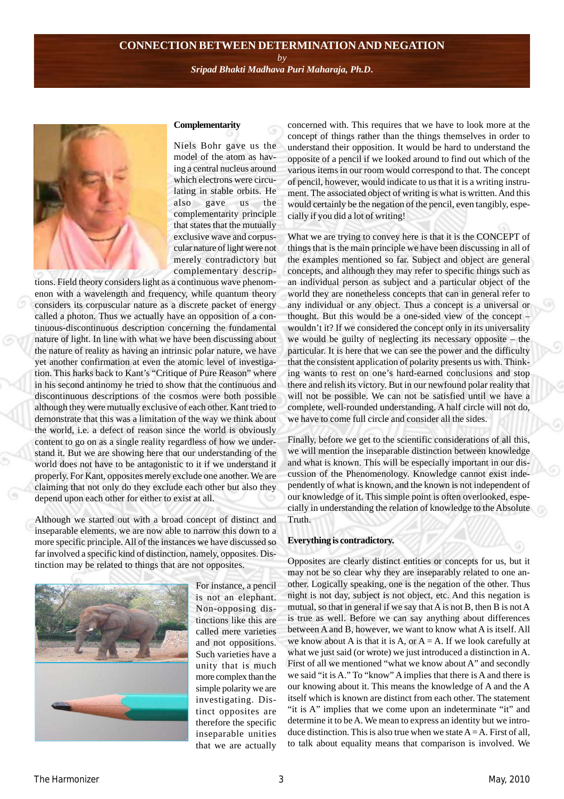#### **CONNECTION BETWEEN DETERMINATION AND NEGATION**

*by [Sripad Bhakti Madhava Puri Maharaja, Ph.D](http://groups.google.co.in/group/Online_Sadhu_Sanga/web/affectionate-guardians)***.**



# **Complementarity**

Niels Bohr gave us the model of the atom as having a central nucleus around which electrons were circulating in stable orbits. He also gave us the complementarity principle that states that the mutually exclusive wave and corpuscular nature of light were not merely contradictory but complementary descrip-

tions. Field theory considers light as a continuous wave phenomenon with a wavelength and frequency, while quantum theory considers its corpuscular nature as a discrete packet of energy called a photon. Thus we actually have an opposition of a continuous-discontinuous description concerning the fundamental nature of light. In line with what we have been discussing about the nature of reality as having an intrinsic polar nature, we have yet another confirmation at even the atomic level of investigation. This harks back to Kant's "Critique of Pure Reason" where in his second antinomy he tried to show that the continuous and discontinuous descriptions of the cosmos were both possible although they were mutually exclusive of each other. Kant tried to demonstrate that this was a limitation of the way we think about the world, i.e. a defect of reason since the world is obviously content to go on as a single reality regardless of how we understand it. But we are showing here that our understanding of the world does not have to be antagonistic to it if we understand it properly. For Kant, opposites merely exclude one another. We are claiming that not only do they exclude each other but also they depend upon each other for either to exist at all.

Although we started out with a broad concept of distinct and inseparable elements, we are now able to narrow this down to a more specific principle. All of the instances we have discussed so far involved a specific kind of distinction, namely, opposites. Distinction may be related to things that are not opposites.



For instance, a pencil is not an elephant. Non-opposing distinctions like this are called mere varieties and not oppositions. Such varieties have a unity that is much more complex than the simple polarity we are investigating. Distinct opposites are therefore the specific inseparable unities that we are actually concerned with. This requires that we have to look more at the concept of things rather than the things themselves in order to understand their opposition. It would be hard to understand the opposite of a pencil if we looked around to find out which of the various items in our room would correspond to that. The concept of pencil, however, would indicate to us that it is a writing instrument. The associated object of writing is what is written. And this would certainly be the negation of the pencil, even tangibly, especially if you did a lot of writing!

What we are trying to convey here is that it is the CONCEPT of things that is the main principle we have been discussing in all of the examples mentioned so far. Subject and object are general concepts, and although they may refer to specific things such as an individual person as subject and a particular object of the world they are nonetheless concepts that can in general refer to any individual or any object. Thus a concept is a universal or thought. But this would be a one-sided view of the concept – wouldn't it? If we considered the concept only in its universality we would be guilty of neglecting its necessary opposite – the particular. It is here that we can see the power and the difficulty that the consistent application of polarity presents us with. Thinking wants to rest on one's hard-earned conclusions and stop there and relish its victory. But in our newfound polar reality that will not be possible. We can not be satisfied until we have a complete, well-rounded understanding. A half circle will not do, we have to come full circle and consider all the sides.

Finally, before we get to the scientific considerations of all this, we will mention the inseparable distinction between knowledge and what is known. This will be especially important in our discussion of the Phenomenology. Knowledge cannot exist independently of what is known, and the known is not independent of our knowledge of it. This simple point is often overlooked, especially in understanding the relation of knowledge to the Absolute Truth.

#### **Everything is contradictory.**

Opposites are clearly distinct entities or concepts for us, but it may not be so clear why they are inseparably related to one another. Logically speaking, one is the negation of the other. Thus night is not day, subject is not object, etc. And this negation is mutual, so that in general if we say that A is not B, then B is not A is true as well. Before we can say anything about differences between A and B, however, we want to know what A is itself. All we know about A is that it is A, or  $A = A$ . If we look carefully at what we just said (or wrote) we just introduced a distinction in A. First of all we mentioned "what we know about A" and secondly we said "it is A." To "know" A implies that there is A and there is our knowing about it. This means the knowledge of A and the A itself which is known are distinct from each other. The statement "it is A" implies that we come upon an indeterminate "it" and determine it to be A. We mean to express an identity but we introduce distinction. This is also true when we state  $A = A$ . First of all, to talk about equality means that comparison is involved. We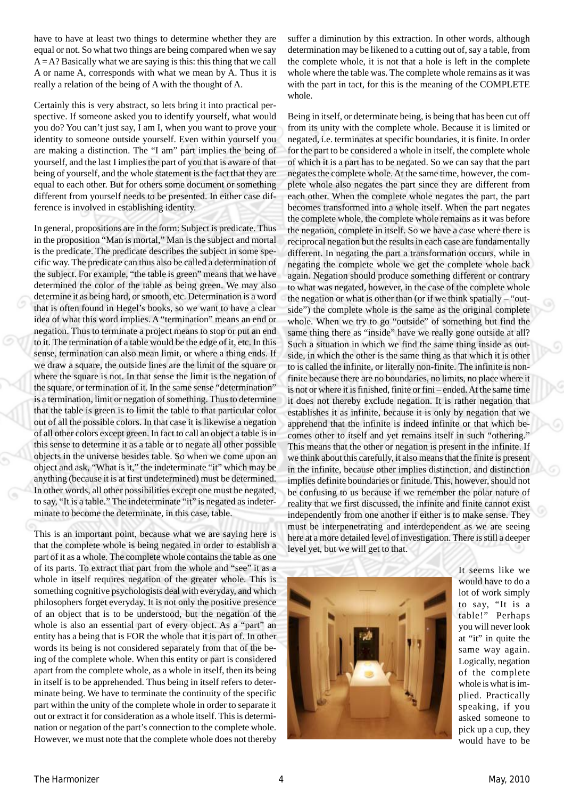have to have at least two things to determine whether they are equal or not. So what two things are being compared when we say  $A = A$ ? Basically what we are saying is this: this thing that we call A or name A, corresponds with what we mean by A. Thus it is really a relation of the being of A with the thought of A.

Certainly this is very abstract, so lets bring it into practical perspective. If someone asked you to identify yourself, what would you do? You can't just say, I am I, when you want to prove your identity to someone outside yourself. Even within yourself you are making a distinction. The "I am" part implies the being of yourself, and the last I implies the part of you that is aware of that being of yourself, and the whole statement is the fact that they are equal to each other. But for others some document or something different from yourself needs to be presented. In either case difference is involved in establishing identity.

In general, propositions are in the form: Subject is predicate. Thus in the proposition "Man is mortal," Man is the subject and mortal is the predicate. The predicate describes the subject in some specific way. The predicate can thus also be called a determination of the subject. For example, "the table is green" means that we have determined the color of the table as being green. We may also determine it as being hard, or smooth, etc. Determination is a word that is often found in Hegel's books, so we want to have a clear idea of what this word implies. A "termination" means an end or negation. Thus to terminate a project means to stop or put an end to it. The termination of a table would be the edge of it, etc. In this sense, termination can also mean limit, or where a thing ends. If we draw a square, the outside lines are the limit of the square or where the square is not. In that sense the limit is the negation of the square, or termination of it. In the same sense "determination" is a termination, limit or negation of something. Thus to determine that the table is green is to limit the table to that particular color out of all the possible colors. In that case it is likewise a negation of all other colors except green. In fact to call an object a table is in this sense to determine it as a table or to negate all other possible objects in the universe besides table. So when we come upon an object and ask, "What is it," the indeterminate "it" which may be anything (because it is at first undetermined) must be determined. In other words, all other possibilities except one must be negated, to say, "It is a table." The indeterminate "it" is negated as indeterminate to become the determinate, in this case, table.

This is an important point, because what we are saying here is that the complete whole is being negated in order to establish a part of it as a whole. The complete whole contains the table as one of its parts. To extract that part from the whole and "see" it as a whole in itself requires negation of the greater whole. This is something cognitive psychologists deal with everyday, and which philosophers forget everyday. It is not only the positive presence of an object that is to be understood, but the negation of the whole is also an essential part of every object. As a "part" an entity has a being that is FOR the whole that it is part of. In other words its being is not considered separately from that of the being of the complete whole. When this entity or part is considered apart from the complete whole, as a whole in itself, then its being in itself is to be apprehended. Thus being in itself refers to determinate being. We have to terminate the continuity of the specific part within the unity of the complete whole in order to separate it out or extract it for consideration as a whole itself. This is determination or negation of the part's connection to the complete whole. However, we must note that the complete whole does not thereby

suffer a diminution by this extraction. In other words, although determination may be likened to a cutting out of, say a table, from the complete whole, it is not that a hole is left in the complete whole where the table was. The complete whole remains as it was with the part in tact, for this is the meaning of the COMPLETE whole.

Being in itself, or determinate being, is being that has been cut off from its unity with the complete whole. Because it is limited or negated, i.e. terminates at specific boundaries, it is finite. In order for the part to be considered a whole in itself, the complete whole of which it is a part has to be negated. So we can say that the part negates the complete whole. At the same time, however, the complete whole also negates the part since they are different from each other. When the complete whole negates the part, the part becomes transformed into a whole itself. When the part negates the complete whole, the complete whole remains as it was before the negation, complete in itself. So we have a case where there is reciprocal negation but the results in each case are fundamentally different. In negating the part a transformation occurs, while in negating the complete whole we get the complete whole back again. Negation should produce something different or contrary to what was negated, however, in the case of the complete whole the negation or what is other than (or if we think spatially – "outside") the complete whole is the same as the original complete whole. When we try to go "outside" of something but find the same thing there as "inside" have we really gone outside at all? Such a situation in which we find the same thing inside as outside, in which the other is the same thing as that which it is other to is called the infinite, or literally non-finite. The infinite is nonfinite because there are no boundaries, no limits, no place where it is not or where it is finished, finite or fini – ended. At the same time it does not thereby exclude negation. It is rather negation that establishes it as infinite, because it is only by negation that we apprehend that the infinite is indeed infinite or that which becomes other to itself and yet remains itself in such "othering." This means that the other or negation is present in the infinite. If we think about this carefully, it also means that the finite is present in the infinite, because other implies distinction, and distinction implies definite boundaries or finitude. This, however, should not be confusing to us because if we remember the polar nature of reality that we first discussed, the infinite and finite cannot exist independently from one another if either is to make sense. They must be interpenetrating and interdependent as we are seeing here at a more detailed level of investigation. There is still a deeper level yet, but we will get to that.



It seems like we would have to do a lot of work simply to say, "It is a table!" Perhaps you will never look at "it" in quite the same way again. Logically, negation of the complete whole is what is implied. Practically speaking, if you asked someone to pick up a cup, they would have to be